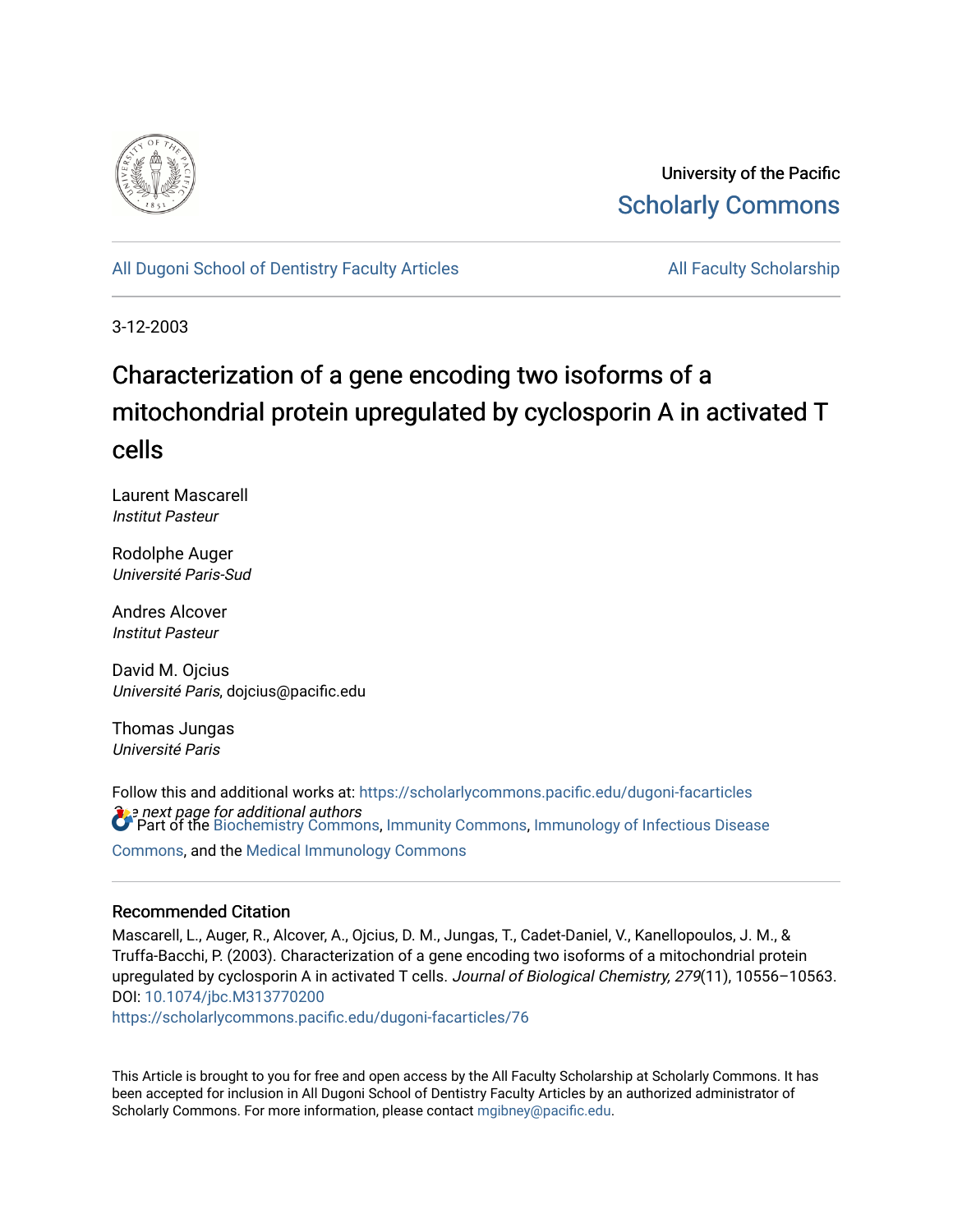

University of the Pacific [Scholarly Commons](https://scholarlycommons.pacific.edu/) 

# [All Dugoni School of Dentistry Faculty Articles](https://scholarlycommons.pacific.edu/dugoni-facarticles) **All Faculty Scholarship** All Faculty Scholarship

3-12-2003

# Characterization of a gene encoding two isoforms of a mitochondrial protein upregulated by cyclosporin A in activated T cells

Laurent Mascarell Institut Pasteur

Rodolphe Auger Université Paris-Sud

Andres Alcover Institut Pasteur

David M. Ojcius Université Paris, dojcius@pacific.edu

Thomas Jungas Université Paris

 $\Omega$ e next page for additional authors<br>Of Part of the [Biochemistry Commons](http://network.bepress.com/hgg/discipline/2?utm_source=scholarlycommons.pacific.edu%2Fdugoni-facarticles%2F76&utm_medium=PDF&utm_campaign=PDFCoverPages), [Immunity Commons,](http://network.bepress.com/hgg/discipline/34?utm_source=scholarlycommons.pacific.edu%2Fdugoni-facarticles%2F76&utm_medium=PDF&utm_campaign=PDFCoverPages) Immunology of Infectious Disease Follow this and additional works at: [https://scholarlycommons.pacific.edu/dugoni-facarticles](https://scholarlycommons.pacific.edu/dugoni-facarticles?utm_source=scholarlycommons.pacific.edu%2Fdugoni-facarticles%2F76&utm_medium=PDF&utm_campaign=PDFCoverPages)  [Commons](http://network.bepress.com/hgg/discipline/35?utm_source=scholarlycommons.pacific.edu%2Fdugoni-facarticles%2F76&utm_medium=PDF&utm_campaign=PDFCoverPages), and the [Medical Immunology Commons](http://network.bepress.com/hgg/discipline/671?utm_source=scholarlycommons.pacific.edu%2Fdugoni-facarticles%2F76&utm_medium=PDF&utm_campaign=PDFCoverPages) 

### Recommended Citation

Mascarell, L., Auger, R., Alcover, A., Ojcius, D. M., Jungas, T., Cadet-Daniel, V., Kanellopoulos, J. M., & Truffa-Bacchi, P. (2003). Characterization of a gene encoding two isoforms of a mitochondrial protein upregulated by cyclosporin A in activated T cells. Journal of Biological Chemistry, 279(11), 10556-10563. DOI: [10.1074/jbc.M313770200](http://dx.doi.org/10.1074/jbc.M313770200) 

[https://scholarlycommons.pacific.edu/dugoni-facarticles/76](https://scholarlycommons.pacific.edu/dugoni-facarticles/76?utm_source=scholarlycommons.pacific.edu%2Fdugoni-facarticles%2F76&utm_medium=PDF&utm_campaign=PDFCoverPages) 

This Article is brought to you for free and open access by the All Faculty Scholarship at Scholarly Commons. It has been accepted for inclusion in All Dugoni School of Dentistry Faculty Articles by an authorized administrator of Scholarly Commons. For more information, please contact [mgibney@pacific.edu.](mailto:mgibney@pacific.edu)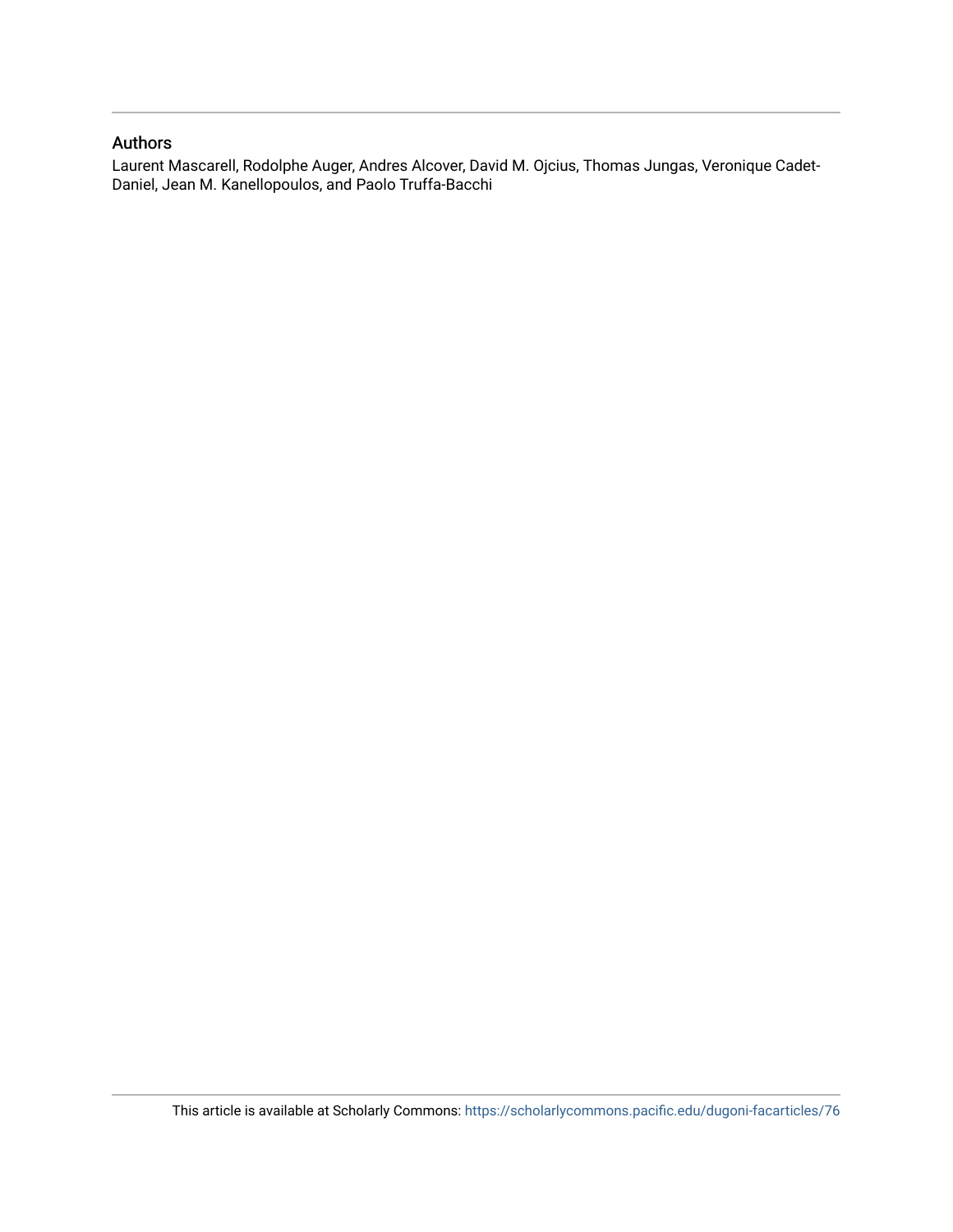## Authors

Laurent Mascarell, Rodolphe Auger, Andres Alcover, David M. Ojcius, Thomas Jungas, Veronique Cadet-Daniel, Jean M. Kanellopoulos, and Paolo Truffa-Bacchi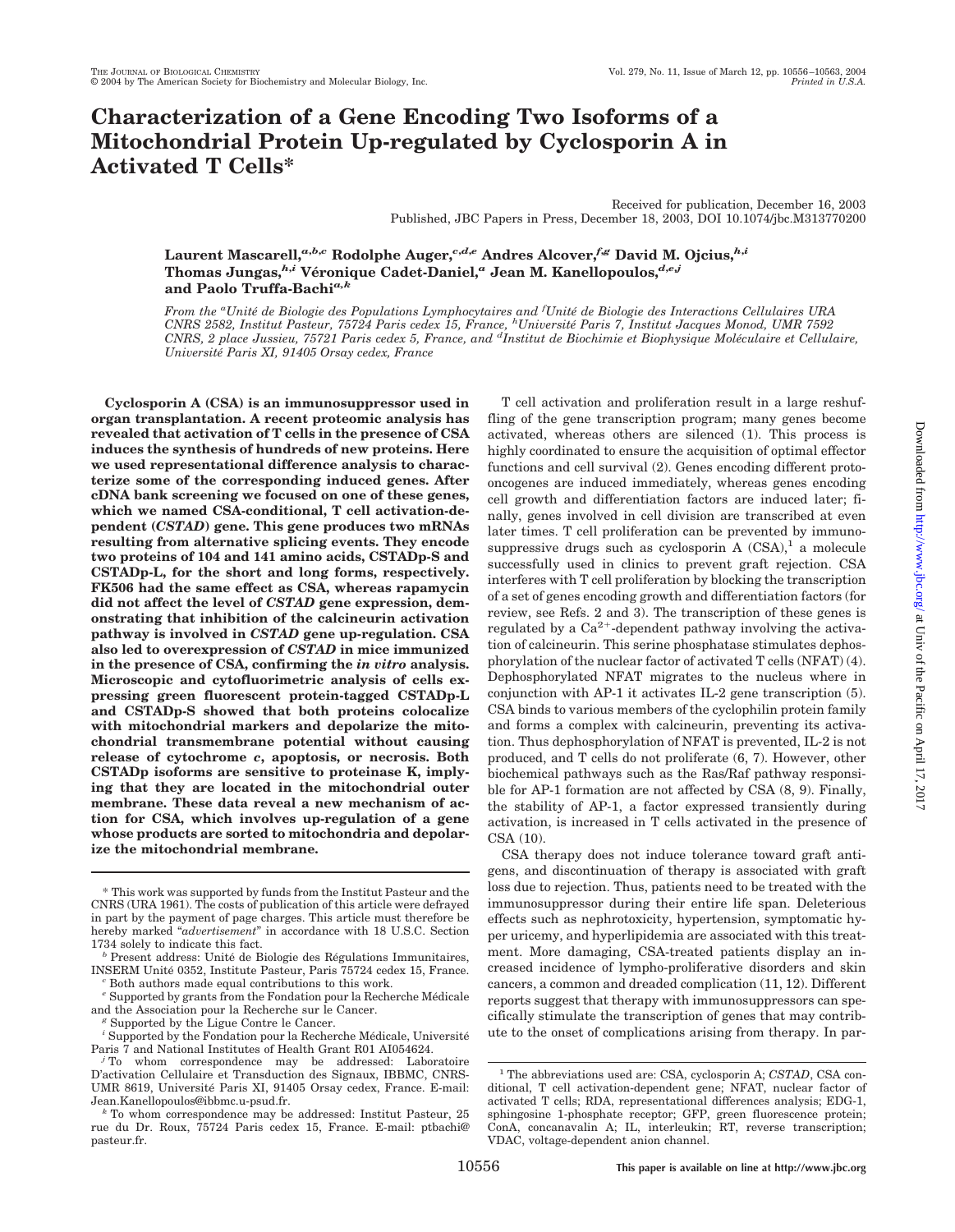# **Characterization of a Gene Encoding Two Isoforms of a Mitochondrial Protein Up-regulated by Cyclosporin A in Activated T Cells\***

Received for publication, December 16, 2003 Published, JBC Papers in Press, December 18, 2003, DOI 10.1074/jbc.M313770200

**Laurent Mascarell,***a***,***b***,***<sup>c</sup>* **Rodolphe Auger,***c***,***d***,***<sup>e</sup>* **Andres Alcover,***f***,***<sup>g</sup>* **David M. Ojcius,***h***,***<sup>i</sup>* **Thomas Jungas,***h***,***<sup>i</sup>* **Ve´ronique Cadet-Daniel,***<sup>a</sup>* **Jean M. Kanellopoulos,***d***,***e***,***<sup>j</sup>* **and Paolo Truffa-Bachi***a,k*

*From the <sup>a</sup> Unite´ de Biologie des Populations Lymphocytaires and <sup>f</sup> Unite´ de Biologie des Interactions Cellulaires URA CNRS 2582, Institut Pasteur, 75724 Paris cedex 15, France, <sup>h</sup> Universite´ Paris 7, Institut Jacques Monod, UMR 7592 CNRS, 2 place Jussieu, 75721 Paris cedex 5, France, and <sup>d</sup> Institut de Biochimie et Biophysique Mole´culaire et Cellulaire, Universite´ Paris XI, 91405 Orsay cedex, France*

**Cyclosporin A (CSA) is an immunosuppressor used in organ transplantation. A recent proteomic analysis has revealed that activation of T cells in the presence of CSA induces the synthesis of hundreds of new proteins. Here we used representational difference analysis to characterize some of the corresponding induced genes. After cDNA bank screening we focused on one of these genes, which we named CSA-conditional, T cell activation-dependent (***CSTAD***) gene. This gene produces two mRNAs resulting from alternative splicing events. They encode two proteins of 104 and 141 amino acids, CSTADp-S and CSTADp-L, for the short and long forms, respectively. FK506 had the same effect as CSA, whereas rapamycin did not affect the level of** *CSTAD* **gene expression, demonstrating that inhibition of the calcineurin activation pathway is involved in** *CSTAD* **gene up-regulation. CSA also led to overexpression of** *CSTAD* **in mice immunized in the presence of CSA, confirming the** *in vitro* **analysis. Microscopic and cytofluorimetric analysis of cells expressing green fluorescent protein-tagged CSTADp-L and CSTADp-S showed that both proteins colocalize with mitochondrial markers and depolarize the mitochondrial transmembrane potential without causing release of cytochrome** *c***, apoptosis, or necrosis. Both CSTADp isoforms are sensitive to proteinase K, implying that they are located in the mitochondrial outer membrane. These data reveal a new mechanism of action for CSA, which involves up-regulation of a gene whose products are sorted to mitochondria and depolarize the mitochondrial membrane.**

T cell activation and proliferation result in a large reshuffling of the gene transcription program; many genes become activated, whereas others are silenced (1). This process is highly coordinated to ensure the acquisition of optimal effector functions and cell survival (2). Genes encoding different protooncogenes are induced immediately, whereas genes encoding cell growth and differentiation factors are induced later; finally, genes involved in cell division are transcribed at even later times. T cell proliferation can be prevented by immunosuppressive drugs such as cyclosporin A  $(CSA)^1$  a molecule successfully used in clinics to prevent graft rejection. CSA interferes with T cell proliferation by blocking the transcription of a set of genes encoding growth and differentiation factors (for review, see Refs. 2 and 3). The transcription of these genes is regulated by a  $Ca^{2+}$ -dependent pathway involving the activation of calcineurin. This serine phosphatase stimulates dephosphorylation of the nuclear factor of activated T cells (NFAT) (4). Dephosphorylated NFAT migrates to the nucleus where in conjunction with AP-1 it activates IL-2 gene transcription (5). CSA binds to various members of the cyclophilin protein family and forms a complex with calcineurin, preventing its activation. Thus dephosphorylation of NFAT is prevented, IL-2 is not produced, and T cells do not proliferate (6, 7). However, other biochemical pathways such as the Ras/Raf pathway responsible for AP-1 formation are not affected by CSA (8, 9). Finally, the stability of AP-1, a factor expressed transiently during activation, is increased in T cells activated in the presence of CSA (10).

CSA therapy does not induce tolerance toward graft antigens, and discontinuation of therapy is associated with graft loss due to rejection. Thus, patients need to be treated with the immunosuppressor during their entire life span. Deleterious effects such as nephrotoxicity, hypertension, symptomatic hyper uricemy, and hyperlipidemia are associated with this treatment. More damaging, CSA-treated patients display an increased incidence of lympho-proliferative disorders and skin cancers, a common and dreaded complication (11, 12). Different reports suggest that therapy with immunosuppressors can specifically stimulate the transcription of genes that may contribute to the onset of complications arising from therapy. In par-

<sup>\*</sup> This work was supported by funds from the Institut Pasteur and the CNRS (URA 1961). The costs of publication of this article were defrayed in part by the payment of page charges. This article must therefore be hereby marked "*advertisement*" in accordance with 18 U.S.C. Section

<sup>1734</sup> solely to indicate this fact.<br><sup>*b*</sup> Present address: Unité de Biologie des Régulations Immunitaires, INSERM Unité 0352, Institute Pasteur, Paris 75724 cedex 15, France. *c* Both authors made equal contributions to this work.

<sup>&</sup>lt;sup>e</sup> Supported by grants from the Fondation pour la Recherche Médicale and the Association pour la Recherche sur le Cancer.

 $^g$  Supported by the Ligue Contre le Cancer.

 $^{\prime}$  Supported by the Fondation pour la Recherche Médicale, Université Paris 7 and National Institutes of Health Grant R01 Al054624.

 $\mu$ <sup>i</sup> To whom correspondence may be addressed: Laboratoire D'activation Cellulaire et Transduction des Signaux, IBBMC, CNRS-UMR 8619, Université Paris XI, 91405 Orsay cedex, France. E-mail: Jean.Kanellopoulos@ibbmc.u-psud.fr.

To whom correspondence may be addressed: Institut Pasteur, 25 rue du Dr. Roux, 75724 Paris cedex 15, France. E-mail: ptbachi@ pasteur.fr.

<sup>&</sup>lt;sup>1</sup> The abbreviations used are: CSA, cyclosporin A; *CSTAD*, CSA conditional, T cell activation-dependent gene; NFAT, nuclear factor of activated T cells; RDA, representational differences analysis; EDG-1, sphingosine 1-phosphate receptor; GFP, green fluorescence protein; ConA, concanavalin A; IL, interleukin; RT, reverse transcription; VDAC, voltage-dependent anion channel.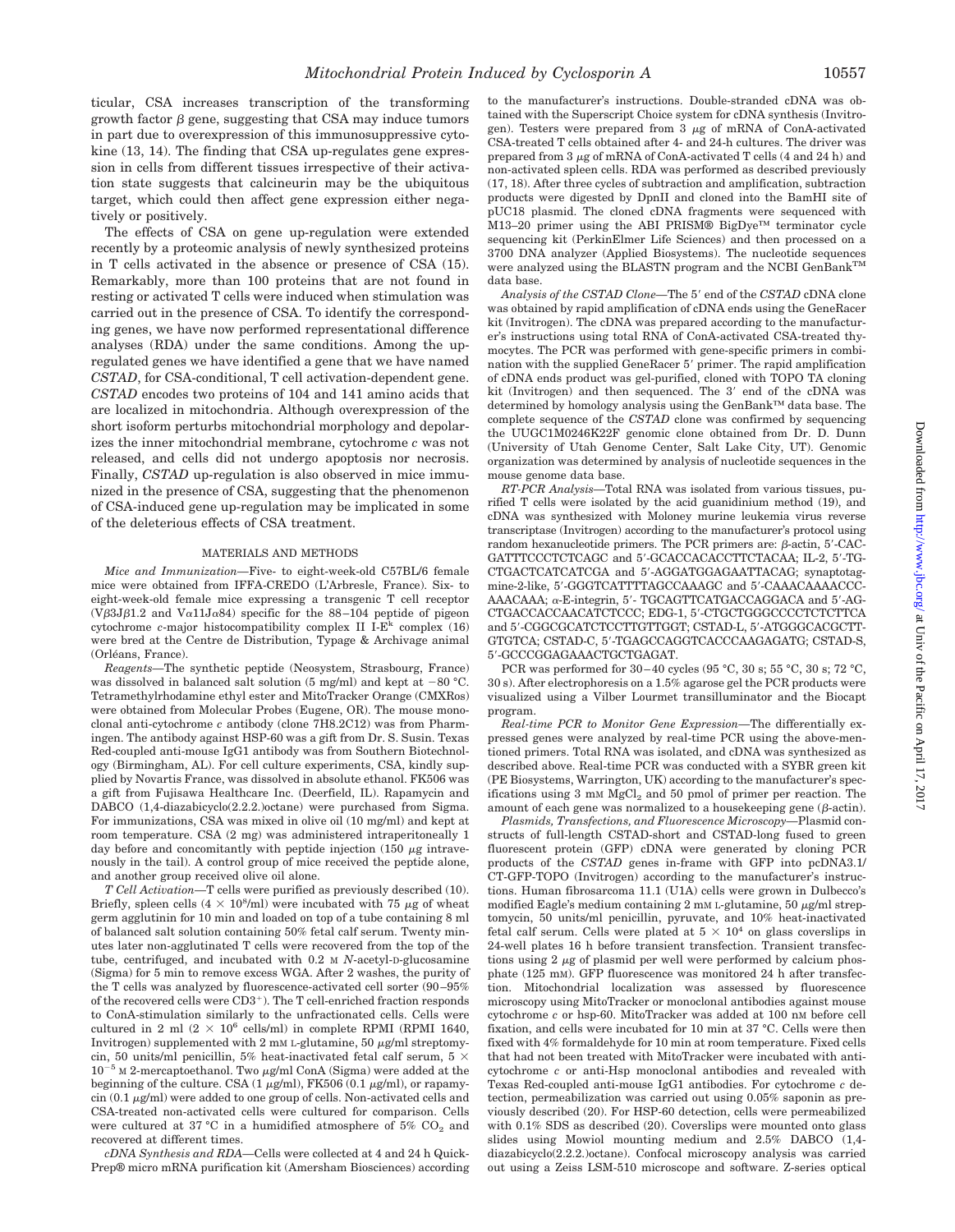ticular, CSA increases transcription of the transforming growth factor  $\beta$  gene, suggesting that CSA may induce tumors in part due to overexpression of this immunosuppressive cytokine (13, 14). The finding that CSA up-regulates gene expression in cells from different tissues irrespective of their activation state suggests that calcineurin may be the ubiquitous target, which could then affect gene expression either negatively or positively.

The effects of CSA on gene up-regulation were extended recently by a proteomic analysis of newly synthesized proteins in T cells activated in the absence or presence of CSA (15). Remarkably, more than 100 proteins that are not found in resting or activated T cells were induced when stimulation was carried out in the presence of CSA. To identify the corresponding genes, we have now performed representational difference analyses (RDA) under the same conditions. Among the upregulated genes we have identified a gene that we have named *CSTAD*, for CSA-conditional, T cell activation-dependent gene. *CSTAD* encodes two proteins of 104 and 141 amino acids that are localized in mitochondria. Although overexpression of the short isoform perturbs mitochondrial morphology and depolarizes the inner mitochondrial membrane, cytochrome *c* was not released, and cells did not undergo apoptosis nor necrosis. Finally, *CSTAD* up-regulation is also observed in mice immunized in the presence of CSA, suggesting that the phenomenon of CSA-induced gene up-regulation may be implicated in some of the deleterious effects of CSA treatment.

#### MATERIALS AND METHODS

*Mice and Immunization—*Five- to eight-week-old C57BL/6 female mice were obtained from IFFA-CREDO (L'Arbresle, France). Six- to eight-week-old female mice expressing a transgenic T cell receptor (V $\beta$ 3J $\beta$ 1.2 and V $\alpha$ 11J $\alpha$ 84) specific for the 88–104 peptide of pigeon cytochrome *c*-major histocompatibility complex II I-E<sup>k</sup> complex (16) were bred at the Centre de Distribution, Typage & Archivage animal (Orléans, France).

*Reagents—*The synthetic peptide (Neosystem, Strasbourg, France) was dissolved in balanced salt solution  $(5 \text{ mg/ml})$  and kept at  $-80$  °C. Tetramethylrhodamine ethyl ester and MitoTracker Orange (CMXRos) were obtained from Molecular Probes (Eugene, OR). The mouse monoclonal anti-cytochrome *c* antibody (clone 7H8.2C12) was from Pharmingen. The antibody against HSP-60 was a gift from Dr. S. Susin. Texas Red-coupled anti-mouse IgG1 antibody was from Southern Biotechnology (Birmingham, AL). For cell culture experiments, CSA, kindly supplied by Novartis France, was dissolved in absolute ethanol. FK506 was a gift from Fujisawa Healthcare Inc. (Deerfield, IL). Rapamycin and DABCO (1,4-diazabicyclo(2.2.2.)octane) were purchased from Sigma. For immunizations, CSA was mixed in olive oil (10 mg/ml) and kept at room temperature. CSA (2 mg) was administered intraperitoneally 1 day before and concomitantly with peptide injection (150  $\mu$ g intravenously in the tail). A control group of mice received the peptide alone, and another group received olive oil alone.

*T Cell Activation—*T cells were purified as previously described (10). Briefly, spleen cells  $(4 \times 10^8/\text{ml})$  were incubated with 75  $\mu$ g of wheat germ agglutinin for 10 min and loaded on top of a tube containing 8 ml of balanced salt solution containing 50% fetal calf serum. Twenty minutes later non-agglutinated T cells were recovered from the top of the tube, centrifuged, and incubated with 0.2 M *N*-acetyl-D-glucosamine (Sigma) for 5 min to remove excess WGA. After 2 washes, the purity of the T cells was analyzed by fluorescence-activated cell sorter (90–95% of the recovered cells were  $CD3^+$ ). The T cell-enriched fraction responds to ConA-stimulation similarly to the unfractionated cells. Cells were cultured in 2 ml  $(2 \times 10^6 \text{ cells/ml})$  in complete RPMI (RPMI 1640, Invitrogen) supplemented with  $2 \text{ mM } L$ -glutamine,  $50 \mu g/ml$  streptomycin, 50 units/ml penicillin, 5% heat-inactivated fetal calf serum, 5  $\times$  $10^{-5}$  M 2-mercaptoethanol. Two  $\mu$ g/ml ConA (Sigma) were added at the beginning of the culture. CSA (1  $\mu$ g/ml), FK506 (0.1  $\mu$ g/ml), or rapamy- $\sin (0.1 \mu g/ml)$  were added to one group of cells. Non-activated cells and CSA-treated non-activated cells were cultured for comparison. Cells were cultured at 37 °C in a humidified atmosphere of 5%  $CO<sub>2</sub>$  and recovered at different times.

*cDNA Synthesis and RDA—*Cells were collected at 4 and 24 h Quick-Prep® micro mRNA purification kit (Amersham Biosciences) according to the manufacturer's instructions. Double-stranded cDNA was obtained with the Superscript Choice system for cDNA synthesis (Invitrogen). Testers were prepared from  $3 \mu$ g of mRNA of ConA-activated CSA-treated T cells obtained after 4- and 24-h cultures. The driver was prepared from 3  $\mu$ g of mRNA of ConA-activated T cells (4 and 24 h) and non-activated spleen cells. RDA was performed as described previously (17, 18). After three cycles of subtraction and amplification, subtraction products were digested by DpnII and cloned into the BamHI site of pUC18 plasmid. The cloned cDNA fragments were sequenced with M13–20 primer using the ABI PRISM® BigDye™ terminator cycle sequencing kit (PerkinElmer Life Sciences) and then processed on a 3700 DNA analyzer (Applied Biosystems). The nucleotide sequences were analyzed using the BLASTN program and the NCBI GenBankTM data base.

*Analysis of the CSTAD Clone*—The 5' end of the *CSTAD* cDNA clone was obtained by rapid amplification of cDNA ends using the GeneRacer kit (Invitrogen). The cDNA was prepared according to the manufacturer's instructions using total RNA of ConA-activated CSA-treated thymocytes. The PCR was performed with gene-specific primers in combination with the supplied GeneRacer 5' primer. The rapid amplification of cDNA ends product was gel-purified, cloned with TOPO TA cloning kit (Invitrogen) and then sequenced. The 3' end of the cDNA was determined by homology analysis using the GenBank™ data base. The complete sequence of the *CSTAD* clone was confirmed by sequencing the UUGC1M0246K22F genomic clone obtained from Dr. D. Dunn (University of Utah Genome Center, Salt Lake City, UT). Genomic organization was determined by analysis of nucleotide sequences in the mouse genome data base.

*RT-PCR Analysis—*Total RNA was isolated from various tissues, purified T cells were isolated by the acid guanidinium method (19), and cDNA was synthesized with Moloney murine leukemia virus reverse transcriptase (Invitrogen) according to the manufacturer's protocol using random hexanucleotide primers. The PCR primers are:  $\beta$ -actin,  $5'$ -CAC-GATTTCCCTCTCAGC and 5'-GCACCACACCTTCTACAA; IL-2, 5'-TG-CTGACTCATCATCGA and 5-AGGATGGAGAATTACAG; synaptotagmine-2-like, 5'-GGGTCATTTTAGCCAAAGC and 5'-CAAACAAAACCC-AAACAAA; α-E-integrin, 5'- TGCAGTTCATGACCAGGACA and 5'-AG-CTGACCACCAACATCTCCC; EDG-1, 5-CTGCTGGGCCCCTCTCTTCA and 5'-CGGCGCATCTCCTTGTTGGT; CSTAD-L, 5'-ATGGGCACGCTT-GTGTCA; CSTAD-C, 5'-TGAGCCAGGTCACCCAAGAGATG; CSTAD-S, 5-GCCCGGAGAAACTGCTGAGAT.

PCR was performed for 30–40 cycles (95 °C, 30 s; 55 °C, 30 s; 72 °C, 30 s). After electrophoresis on a 1.5% agarose gel the PCR products were visualized using a Vilber Lourmet transilluminator and the Biocapt program.

*Real-time PCR to Monitor Gene Expression—*The differentially expressed genes were analyzed by real-time PCR using the above-mentioned primers. Total RNA was isolated, and cDNA was synthesized as described above. Real-time PCR was conducted with a SYBR green kit (PE Biosystems, Warrington, UK) according to the manufacturer's specifications using  $3 \text{ mM } \text{MgCl}_2$  and  $50 \text{ pmol }$  of primer per reaction. The amount of each gene was normalized to a housekeeping gene  $(\beta$ -actin).

*Plasmids, Transfections, and Fluorescence Microscopy—*Plasmid constructs of full-length CSTAD-short and CSTAD-long fused to green fluorescent protein (GFP) cDNA were generated by cloning PCR products of the *CSTAD* genes in-frame with GFP into pcDNA3.1/ CT-GFP-TOPO (Invitrogen) according to the manufacturer's instructions. Human fibrosarcoma 11.1 (U1A) cells were grown in Dulbecco's modified Eagle's medium containing  $2 \text{ mM } L$ -glutamine,  $50 \mu g/ml$  streptomycin, 50 units/ml penicillin, pyruvate, and 10% heat-inactivated fetal calf serum. Cells were plated at  $5 \times 10^4$  on glass coverslips in 24-well plates 16 h before transient transfection. Transient transfections using  $2 \mu$ g of plasmid per well were performed by calcium phosphate (125 mM). GFP fluorescence was monitored 24 h after transfection. Mitochondrial localization was assessed by fluorescence microscopy using MitoTracker or monoclonal antibodies against mouse cytochrome *c* or hsp-60. MitoTracker was added at 100 nM before cell fixation, and cells were incubated for 10 min at 37 °C. Cells were then fixed with 4% formaldehyde for 10 min at room temperature. Fixed cells that had not been treated with MitoTracker were incubated with anticytochrome *c* or anti-Hsp monoclonal antibodies and revealed with Texas Red-coupled anti-mouse IgG1 antibodies. For cytochrome *c* detection, permeabilization was carried out using 0.05% saponin as previously described (20). For HSP-60 detection, cells were permeabilized with 0.1% SDS as described (20). Coverslips were mounted onto glass slides using Mowiol mounting medium and 2.5% DABCO (1,4 diazabicyclo(2.2.2.)octane). Confocal microscopy analysis was carried out using a Zeiss LSM-510 microscope and software. Z-series optical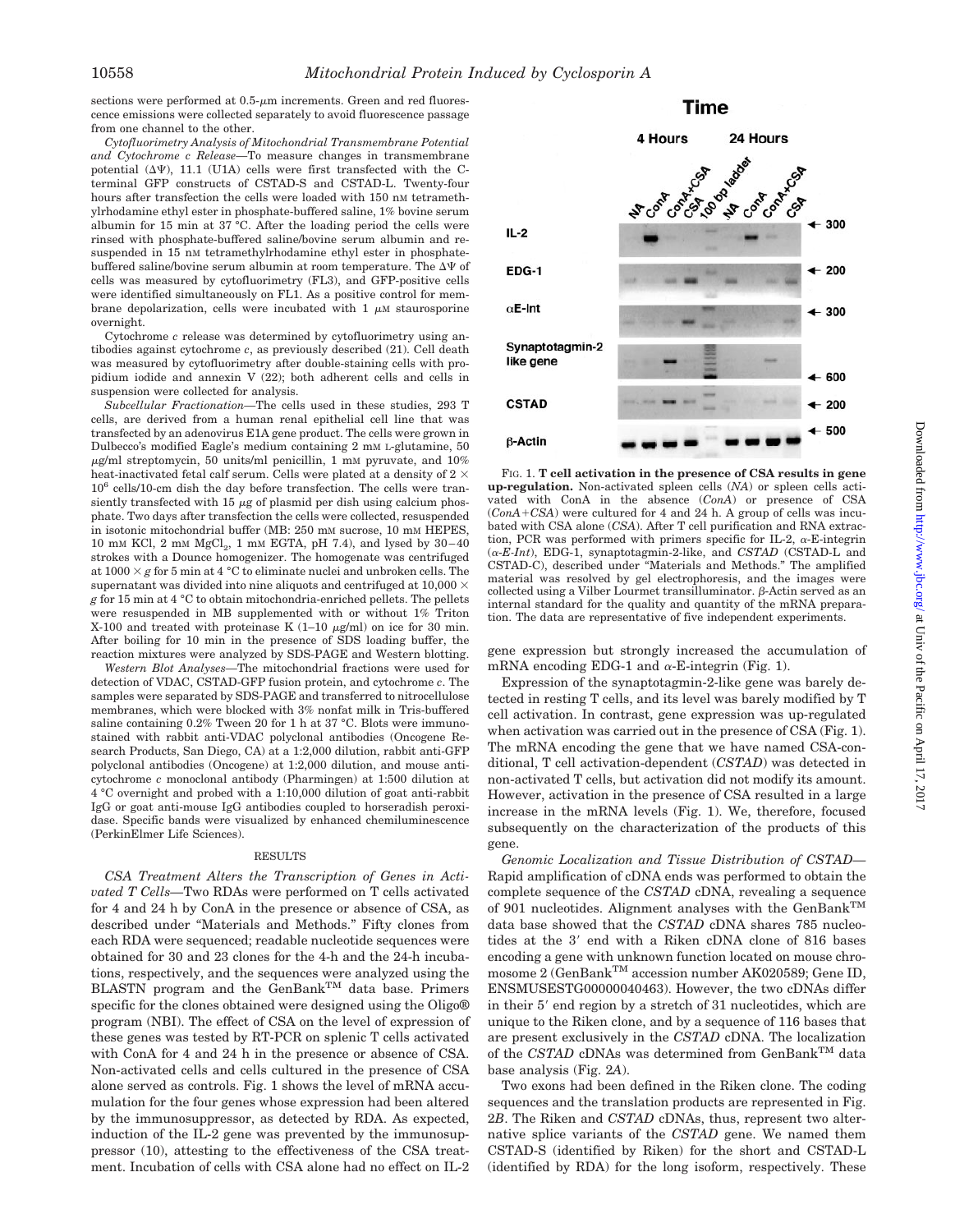sections were performed at  $0.5$ - $\mu$ m increments. Green and red fluorescence emissions were collected separately to avoid fluorescence passage from one channel to the other.

*Cytofluorimetry Analysis of Mitochondrial Transmembrane Potential and Cytochrome c Release—*To measure changes in transmembrane potential  $(\Delta\Psi)$ , 11.1 (U1A) cells were first transfected with the Cterminal GFP constructs of CSTAD-S and CSTAD-L. Twenty-four hours after transfection the cells were loaded with 150 nm tetramethylrhodamine ethyl ester in phosphate-buffered saline, 1% bovine serum albumin for 15 min at 37 °C. After the loading period the cells were rinsed with phosphate-buffered saline/bovine serum albumin and resuspended in 15 nM tetramethylrhodamine ethyl ester in phosphatebuffered saline/bovine serum albumin at room temperature. The  $\Delta\Psi$  of cells was measured by cytofluorimetry (FL3), and GFP-positive cells were identified simultaneously on FL1. As a positive control for membrane depolarization, cells were incubated with 1  $\mu$ M staurosporine overnight.

Cytochrome *c* release was determined by cytofluorimetry using antibodies against cytochrome *c*, as previously described (21). Cell death was measured by cytofluorimetry after double-staining cells with propidium iodide and annexin V (22); both adherent cells and cells in suspension were collected for analysis.

*Subcellular Fractionation—*The cells used in these studies, 293 T cells, are derived from a human renal epithelial cell line that was transfected by an adenovirus E1A gene product. The cells were grown in Dulbecco's modified Eagle's medium containing 2 mM L-glutamine, 50  $\mu$ g/ml streptomycin, 50 units/ml penicillin, 1 mM pyruvate, and 10% heat-inactivated fetal calf serum. Cells were plated at a density of 2  $\times$ 106 cells/10-cm dish the day before transfection. The cells were transiently transfected with 15  $\mu$ g of plasmid per dish using calcium phosphate. Two days after transfection the cells were collected, resuspended in isotonic mitochondrial buffer (MB: 250 mM sucrose, 10 mM HEPES, 10 mm KCl, 2 mm  $MgCl<sub>2</sub>$ , 1 mm EGTA, pH 7.4), and lysed by 30–40 strokes with a Dounce homogenizer. The homogenate was centrifuged at  $1000 \times g$  for 5 min at 4 °C to eliminate nuclei and unbroken cells. The supernatant was divided into nine aliquots and centrifuged at  $10,000 \times$ *g* for 15 min at 4 °C to obtain mitochondria-enriched pellets. The pellets were resuspended in MB supplemented with or without 1% Triton X-100 and treated with proteinase K  $(1-10 \mu g/ml)$  on ice for 30 min. After boiling for 10 min in the presence of SDS loading buffer, the reaction mixtures were analyzed by SDS-PAGE and Western blotting.

*Western Blot Analyses—*The mitochondrial fractions were used for detection of VDAC, CSTAD-GFP fusion protein, and cytochrome *c*. The samples were separated by SDS-PAGE and transferred to nitrocellulose membranes, which were blocked with 3% nonfat milk in Tris-buffered saline containing 0.2% Tween 20 for 1 h at 37 °C. Blots were immunostained with rabbit anti-VDAC polyclonal antibodies (Oncogene Research Products, San Diego, CA) at a 1:2,000 dilution, rabbit anti-GFP polyclonal antibodies (Oncogene) at 1:2,000 dilution, and mouse anticytochrome *c* monoclonal antibody (Pharmingen) at 1:500 dilution at 4 °C overnight and probed with a 1:10,000 dilution of goat anti-rabbit IgG or goat anti-mouse IgG antibodies coupled to horseradish peroxidase. Specific bands were visualized by enhanced chemiluminescence (PerkinElmer Life Sciences).

#### RESULTS

*CSA Treatment Alters the Transcription of Genes in Activated T Cells—*Two RDAs were performed on T cells activated for 4 and 24 h by ConA in the presence or absence of CSA, as described under "Materials and Methods." Fifty clones from each RDA were sequenced; readable nucleotide sequences were obtained for 30 and 23 clones for the 4-h and the 24-h incubations, respectively, and the sequences were analyzed using the BLASTN program and the GenBank<sup>TM</sup> data base. Primers specific for the clones obtained were designed using the Oligo® program (NBI). The effect of CSA on the level of expression of these genes was tested by RT-PCR on splenic T cells activated with ConA for 4 and 24 h in the presence or absence of CSA. Non-activated cells and cells cultured in the presence of CSA alone served as controls. Fig. 1 shows the level of mRNA accumulation for the four genes whose expression had been altered by the immunosuppressor, as detected by RDA. As expected, induction of the IL-2 gene was prevented by the immunosuppressor (10), attesting to the effectiveness of the CSA treatment. Incubation of cells with CSA alone had no effect on IL-2



FIG. 1. **T cell activation in the presence of CSA results in gene up-regulation.** Non-activated spleen cells (*NA*) or spleen cells activated with ConA in the absence (*ConA*) or presence of CSA (*ConA*+CSA) were cultured for 4 and 24 h. A group of cells was incubated with CSA alone (*CSA*). After T cell purification and RNA extraction, PCR was performed with primers specific for IL-2,  $\alpha$ -E-integrin  $(\alpha$ -*E-Int*), EDG-1, synaptotagmin-2-like, and *CSTAD* (CSTAD-L and CSTAD-C), described under "Materials and Methods." The amplified material was resolved by gel electrophoresis, and the images were collected using a Vilber Lourmet transilluminator.  $\beta$ -Actin served as an internal standard for the quality and quantity of the mRNA preparation. The data are representative of five independent experiments.

gene expression but strongly increased the accumulation of mRNA encoding EDG-1 and  $\alpha$ -E-integrin (Fig. 1).

Expression of the synaptotagmin-2-like gene was barely detected in resting T cells, and its level was barely modified by T cell activation. In contrast, gene expression was up-regulated when activation was carried out in the presence of CSA (Fig. 1). The mRNA encoding the gene that we have named CSA-conditional, T cell activation-dependent (*CSTAD*) was detected in non-activated T cells, but activation did not modify its amount. However, activation in the presence of CSA resulted in a large increase in the mRNA levels (Fig. 1). We, therefore, focused subsequently on the characterization of the products of this gene.

*Genomic Localization and Tissue Distribution of CSTAD—* Rapid amplification of cDNA ends was performed to obtain the complete sequence of the *CSTAD* cDNA, revealing a sequence of 901 nucleotides. Alignment analyses with the GenBank<sup>TM</sup> data base showed that the *CSTAD* cDNA shares 785 nucleotides at the 3' end with a Riken cDNA clone of 816 bases encoding a gene with unknown function located on mouse chromosome 2 (GenBank<sup>TM</sup> accession number AK020589; Gene ID, ENSMUSESTG00000040463). However, the two cDNAs differ in their 5' end region by a stretch of 31 nucleotides, which are unique to the Riken clone, and by a sequence of 116 bases that are present exclusively in the *CSTAD* cDNA. The localization of the *CSTAD* cDNAs was determined from GenBank<sup>TM</sup> data base analysis (Fig. 2*A*).

Two exons had been defined in the Riken clone. The coding sequences and the translation products are represented in Fig. 2*B*. The Riken and *CSTAD* cDNAs, thus, represent two alternative splice variants of the *CSTAD* gene. We named them CSTAD-S (identified by Riken) for the short and CSTAD-L (identified by RDA) for the long isoform, respectively. These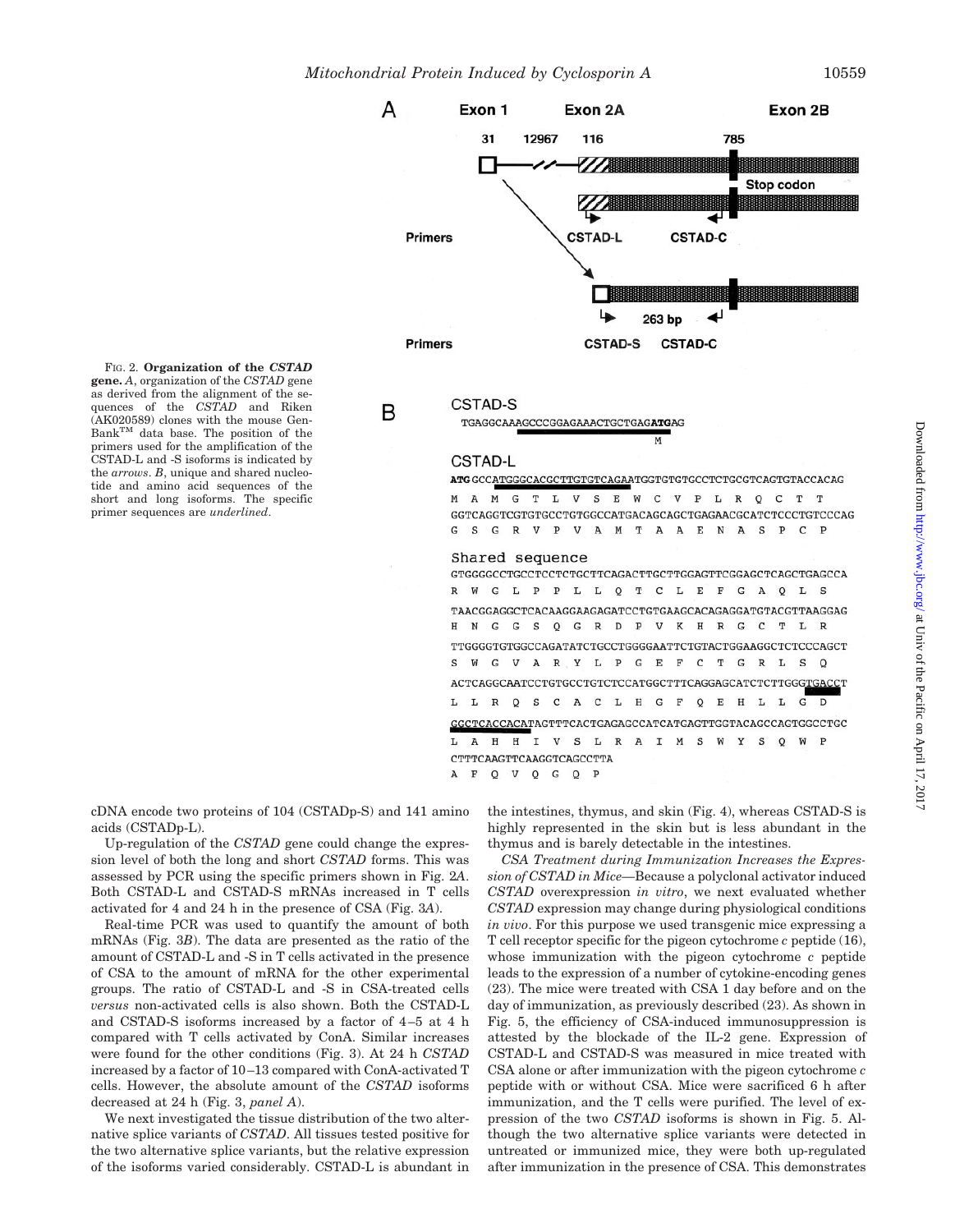

FIG. 2. **Organization of the** *CSTAD* **gene.** *A*, organization of the *CSTAD* gene as derived from the alignment of the sequences of the *CSTAD* and Riken (AK020589) clones with the mouse Gen-BankTM data base. The position of the primers used for the amplification of the CSTAD-L and -S isoforms is indicated by the *arrows*. *B*, unique and shared nucleotide and amino acid sequences of the short and long isoforms. The specific primer sequences are *underlined*.

#### CSTAD-S

B

TGAGGCAAAGCCCGGAGAAACTGCTGAGATGAG

#### **CSTAD-L**

ATG GCCATGGGCACGCTTGTGTCAGAATGGTGTGTGCCTCTGCGTCAGTGTACCACAG

M

M A M G T L V S E W C V P L R Q C T T GGTCAGGTCGTGTGCCTGTGGCCATGACAGCAGCTGAGAACGCATCTCCCTGTCCCAG G S G R V P V A M T A A E N A S P C P

#### Shared sequence

 ${\tt GTGGGCCTGCCTCCTCTGCTTCAGACTTGGAGTTCGGAGCTCAGCTGAGCCCA}$  $\mathbb{R}$  $W$ G L P P L L Q T C L E F G A Q L S TAACGGAGGCTCACAAGGAAGAGATCCTGTGAAGCACAGAGGATGTACGTTAAGGAG G G S Q G R D P V K H R G C T L R  $H$  $N$ TTGGGGTGTGCCCAGATATCTGCCTGGGGAATTCTGTACTGGAAGGCTCTCCCAGCT G V A R Y L P G E F C T G R L S Q s  $W$ ACTCAGGCAATCCTGTGCCTGTCTCCATGGCTTTCAGGAGCATCTCTTGGGTGACCT L L R Q S C A C L H G F Q  $\mathbf E$  $\,$  H  $\mathbf L$  $\mathbf L$  $\overline{G}$  $\overline{D}$ GGCTCACCACATAGTTTCACTGAGAGCCATCATGAGTTGGTACAGCCAGTGGCCTGC H H I V S L R A I M S W Y S Q L  $\overline{A}$ CTTTCAAGTTCAAGGTCAGCCTTA A F O V O G O P

cDNA encode two proteins of 104 (CSTADp-S) and 141 amino acids (CSTADp-L).

Up-regulation of the *CSTAD* gene could change the expression level of both the long and short *CSTAD* forms. This was assessed by PCR using the specific primers shown in Fig. 2*A*. Both CSTAD-L and CSTAD-S mRNAs increased in T cells activated for 4 and 24 h in the presence of CSA (Fig. 3*A*).

Real-time PCR was used to quantify the amount of both mRNAs (Fig. 3*B*). The data are presented as the ratio of the amount of CSTAD-L and -S in T cells activated in the presence of CSA to the amount of mRNA for the other experimental groups. The ratio of CSTAD-L and -S in CSA-treated cells *versus* non-activated cells is also shown. Both the CSTAD-L and CSTAD-S isoforms increased by a factor of 4–5 at 4 h compared with T cells activated by ConA. Similar increases were found for the other conditions (Fig. 3). At 24 h *CSTAD* increased by a factor of 10–13 compared with ConA-activated T cells. However, the absolute amount of the *CSTAD* isoforms decreased at 24 h (Fig. 3, *panel A*).

We next investigated the tissue distribution of the two alternative splice variants of *CSTAD*. All tissues tested positive for the two alternative splice variants, but the relative expression of the isoforms varied considerably. CSTAD-L is abundant in the intestines, thymus, and skin (Fig. 4), whereas CSTAD-S is highly represented in the skin but is less abundant in the thymus and is barely detectable in the intestines.

*CSA Treatment during Immunization Increases the Expression of CSTAD in Mice—*Because a polyclonal activator induced *CSTAD* overexpression *in vitro*, we next evaluated whether *CSTAD* expression may change during physiological conditions *in vivo*. For this purpose we used transgenic mice expressing a T cell receptor specific for the pigeon cytochrome *c* peptide (16), whose immunization with the pigeon cytochrome *c* peptide leads to the expression of a number of cytokine-encoding genes (23). The mice were treated with CSA 1 day before and on the day of immunization, as previously described (23). As shown in Fig. 5, the efficiency of CSA-induced immunosuppression is attested by the blockade of the IL-2 gene. Expression of CSTAD-L and CSTAD-S was measured in mice treated with CSA alone or after immunization with the pigeon cytochrome *c* peptide with or without CSA. Mice were sacrificed 6 h after immunization, and the T cells were purified. The level of expression of the two *CSTAD* isoforms is shown in Fig. 5. Although the two alternative splice variants were detected in untreated or immunized mice, they were both up-regulated after immunization in the presence of CSA. This demonstrates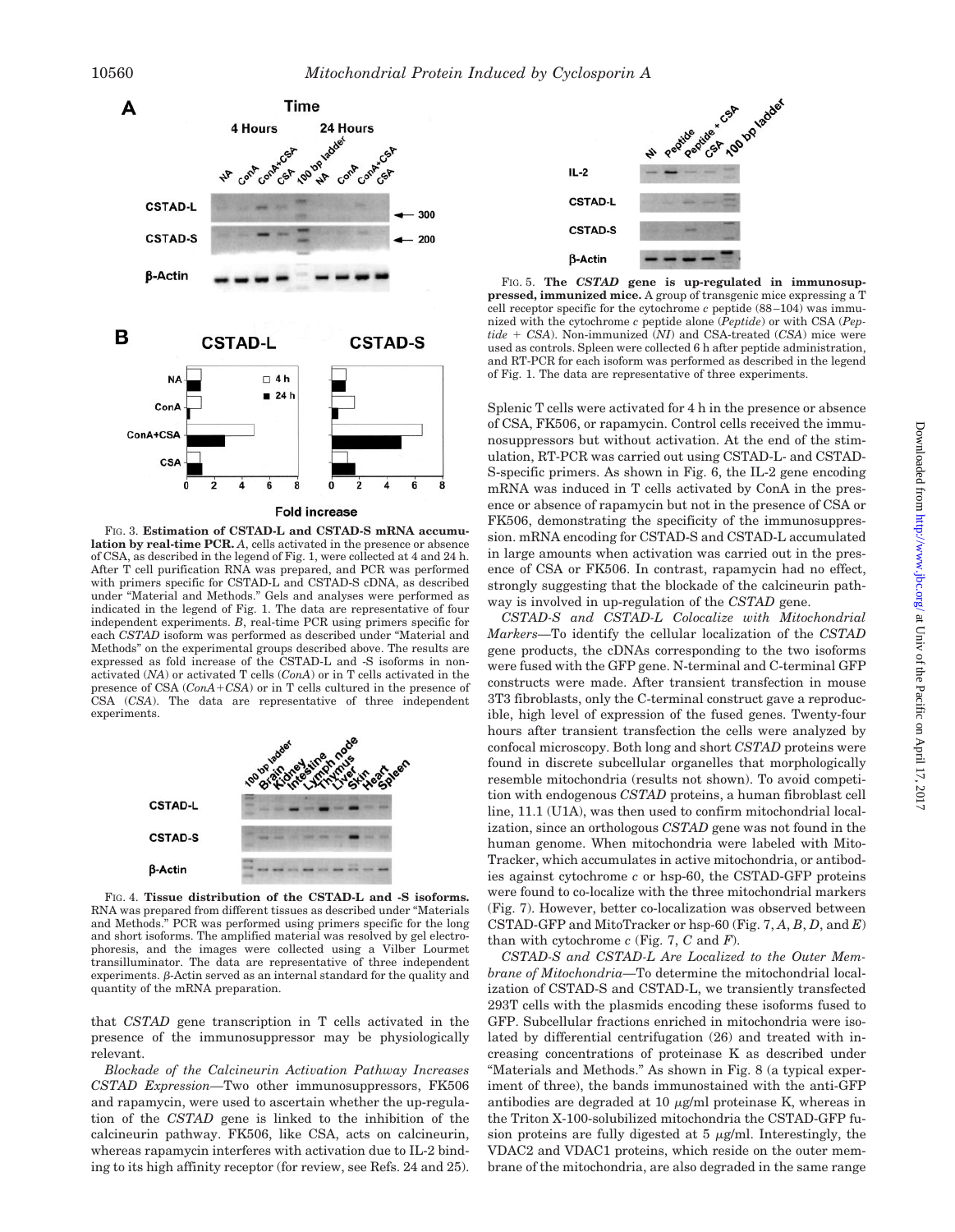

FIG. 3. **Estimation of CSTAD-L and CSTAD-S mRNA accumulation by real-time PCR.** *A*, cells activated in the presence or absence of CSA, as described in the legend of Fig. 1, were collected at 4 and 24 h. After T cell purification RNA was prepared, and PCR was performed with primers specific for CSTAD-L and CSTAD-S cDNA, as described under "Material and Methods." Gels and analyses were performed as indicated in the legend of Fig. 1. The data are representative of four independent experiments. *B*, real-time PCR using primers specific for each *CSTAD* isoform was performed as described under "Material and Methods" on the experimental groups described above. The results are expressed as fold increase of the CSTAD-L and -S isoforms in nonactivated (*NA*) or activated T cells (*ConA*) or in T cells activated in the presence of CSA  $(ConA+CSA)$  or in T cells cultured in the presence of CSA (*CSA*). The data are representative of three independent experiments.



FIG. 4. **Tissue distribution of the CSTAD-L and -S isoforms.** RNA was prepared from different tissues as described under "Materials and Methods." PCR was performed using primers specific for the long and short isoforms. The amplified material was resolved by gel electrophoresis, and the images were collected using a Vilber Lourmet transilluminator. The data are representative of three independent  $experiments.$   $\beta$ -Actin served as an internal standard for the quality and quantity of the mRNA preparation.

that *CSTAD* gene transcription in T cells activated in the presence of the immunosuppressor may be physiologically relevant.

*Blockade of the Calcineurin Activation Pathway Increases CSTAD Expression—*Two other immunosuppressors, FK506 and rapamycin, were used to ascertain whether the up-regulation of the *CSTAD* gene is linked to the inhibition of the calcineurin pathway. FK506, like CSA, acts on calcineurin, whereas rapamycin interferes with activation due to IL-2 binding to its high affinity receptor (for review, see Refs. 24 and 25).



FIG. 5. **The** *CSTAD* **gene is up-regulated in immunosuppressed, immunized mice.** A group of transgenic mice expressing a T cell receptor specific for the cytochrome *c* peptide (88–104) was immunized with the cytochrome *c* peptide alone (*Peptide*) or with CSA (*Pep* $tide + CSA$ ). Non-immunized  $(NI)$  and CSA-treated  $(CSA)$  mice were used as controls. Spleen were collected 6 h after peptide administration, and RT-PCR for each isoform was performed as described in the legend of Fig. 1. The data are representative of three experiments.

Splenic T cells were activated for 4 h in the presence or absence of CSA, FK506, or rapamycin. Control cells received the immunosuppressors but without activation. At the end of the stimulation, RT-PCR was carried out using CSTAD-L- and CSTAD-S-specific primers. As shown in Fig. 6, the IL-2 gene encoding mRNA was induced in T cells activated by ConA in the presence or absence of rapamycin but not in the presence of CSA or FK506, demonstrating the specificity of the immunosuppression. mRNA encoding for CSTAD-S and CSTAD-L accumulated in large amounts when activation was carried out in the presence of CSA or FK506. In contrast, rapamycin had no effect, strongly suggesting that the blockade of the calcineurin pathway is involved in up-regulation of the *CSTAD* gene.

*CSTAD-S and CSTAD-L Colocalize with Mitochondrial Markers—*To identify the cellular localization of the *CSTAD* gene products, the cDNAs corresponding to the two isoforms were fused with the GFP gene. N-terminal and C-terminal GFP constructs were made. After transient transfection in mouse 3T3 fibroblasts, only the C-terminal construct gave a reproducible, high level of expression of the fused genes. Twenty-four hours after transient transfection the cells were analyzed by confocal microscopy. Both long and short *CSTAD* proteins were found in discrete subcellular organelles that morphologically resemble mitochondria (results not shown). To avoid competition with endogenous *CSTAD* proteins, a human fibroblast cell line, 11.1 (U1A), was then used to confirm mitochondrial localization, since an orthologous *CSTAD* gene was not found in the human genome. When mitochondria were labeled with Mito-Tracker, which accumulates in active mitochondria, or antibodies against cytochrome *c* or hsp-60, the CSTAD-GFP proteins were found to co-localize with the three mitochondrial markers (Fig. 7). However, better co-localization was observed between CSTAD-GFP and MitoTracker or hsp-60 (Fig. 7, *A*, *B*, *D*, and *E*) than with cytochrome *c* (Fig. 7, *C* and *F*).

*CSTAD-S and CSTAD-L Are Localized to the Outer Membrane of Mitochondria—*To determine the mitochondrial localization of CSTAD-S and CSTAD-L, we transiently transfected 293T cells with the plasmids encoding these isoforms fused to GFP. Subcellular fractions enriched in mitochondria were isolated by differential centrifugation (26) and treated with increasing concentrations of proteinase K as described under "Materials and Methods." As shown in Fig. 8 (a typical experiment of three), the bands immunostained with the anti-GFP antibodies are degraded at 10  $\mu$ g/ml proteinase K, whereas in the Triton X-100-solubilized mitochondria the CSTAD-GFP fusion proteins are fully digested at  $5 \mu g/ml$ . Interestingly, the VDAC2 and VDAC1 proteins, which reside on the outer membrane of the mitochondria, are also degraded in the same range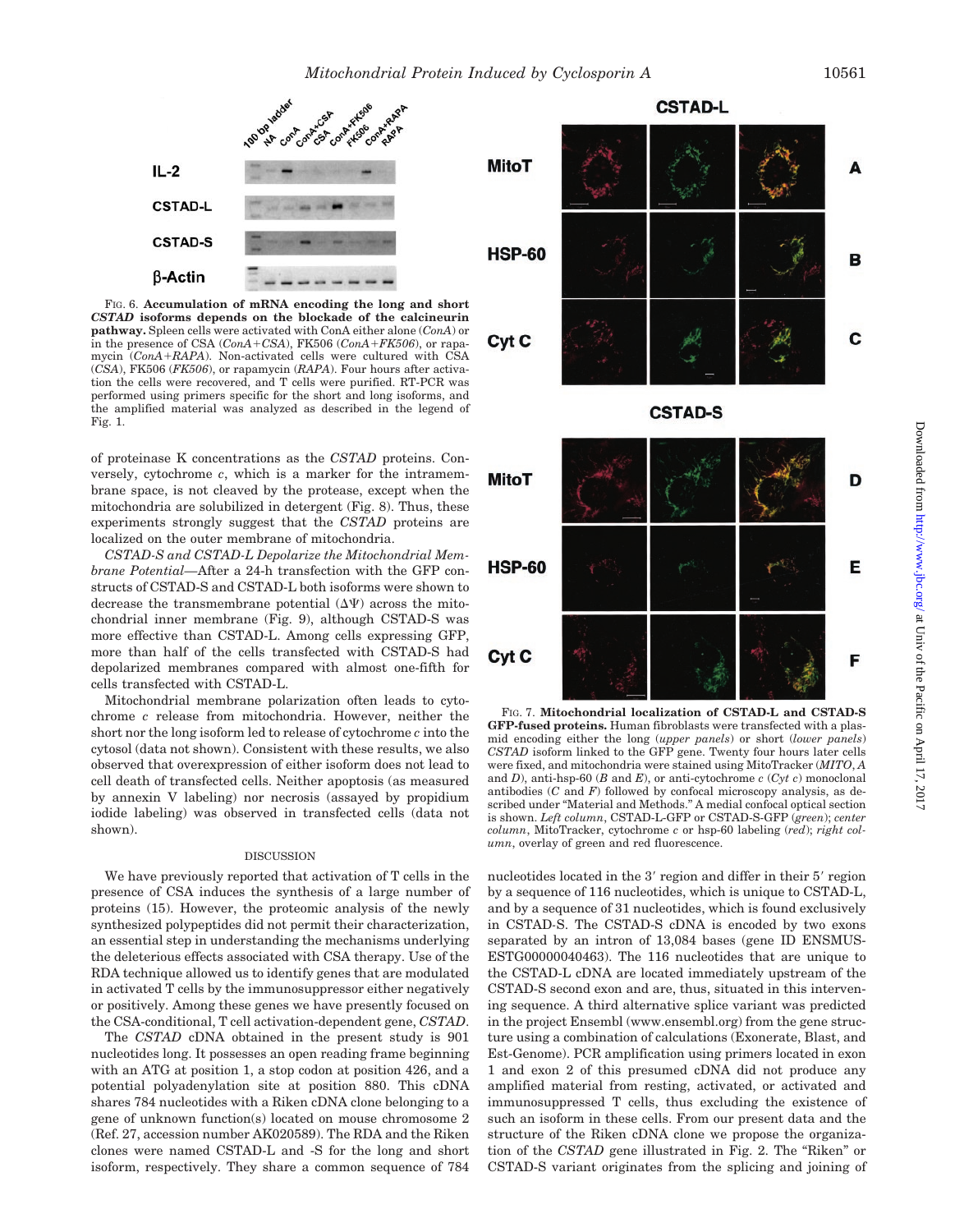

FIG. 6. **Accumulation of mRNA encoding the long and short** *CSTAD* **isoforms depends on the blockade of the calcineurin pathway.** Spleen cells were activated with ConA either alone (*ConA*) or in the presence of CSA  $(ConA + CSA)$ , FK506  $(ConA + FK506)$ , or rapamycin (*ConARAPA*). Non-activated cells were cultured with CSA (*CSA*), FK506 (*FK506*), or rapamycin (*RAPA*). Four hours after activation the cells were recovered, and T cells were purified. RT-PCR was performed using primers specific for the short and long isoforms, and the amplified material was analyzed as described in the legend of Fig. 1.

of proteinase K concentrations as the *CSTAD* proteins. Conversely, cytochrome *c*, which is a marker for the intramembrane space, is not cleaved by the protease, except when the mitochondria are solubilized in detergent (Fig. 8). Thus, these experiments strongly suggest that the *CSTAD* proteins are localized on the outer membrane of mitochondria.

*CSTAD-S and CSTAD-L Depolarize the Mitochondrial Membrane Potential—*After a 24-h transfection with the GFP constructs of CSTAD-S and CSTAD-L both isoforms were shown to decrease the transmembrane potential  $(\Delta \Psi)$  across the mitochondrial inner membrane (Fig. 9), although CSTAD-S was more effective than CSTAD-L. Among cells expressing GFP, more than half of the cells transfected with CSTAD-S had depolarized membranes compared with almost one-fifth for cells transfected with CSTAD-L.

Mitochondrial membrane polarization often leads to cytochrome *c* release from mitochondria. However, neither the short nor the long isoform led to release of cytochrome *c* into the cytosol (data not shown). Consistent with these results, we also observed that overexpression of either isoform does not lead to cell death of transfected cells. Neither apoptosis (as measured by annexin V labeling) nor necrosis (assayed by propidium iodide labeling) was observed in transfected cells (data not shown).

#### DISCUSSION

We have previously reported that activation of T cells in the presence of CSA induces the synthesis of a large number of proteins (15). However, the proteomic analysis of the newly synthesized polypeptides did not permit their characterization, an essential step in understanding the mechanisms underlying the deleterious effects associated with CSA therapy. Use of the RDA technique allowed us to identify genes that are modulated in activated T cells by the immunosuppressor either negatively or positively. Among these genes we have presently focused on the CSA-conditional, T cell activation-dependent gene, *CSTAD*.

The *CSTAD* cDNA obtained in the present study is 901 nucleotides long. It possesses an open reading frame beginning with an ATG at position 1, a stop codon at position 426, and a potential polyadenylation site at position 880. This cDNA shares 784 nucleotides with a Riken cDNA clone belonging to a gene of unknown function(s) located on mouse chromosome 2 (Ref. 27, accession number AK020589). The RDA and the Riken clones were named CSTAD-L and -S for the long and short isoform, respectively. They share a common sequence of 784







FIG. 7. **Mitochondrial localization of CSTAD-L and CSTAD-S GFP-fused proteins.** Human fibroblasts were transfected with a plasmid encoding either the long (*upper panels*) or short (*lower panels*) *CSTAD* isoform linked to the GFP gene. Twenty four hours later cells were fixed, and mitochondria were stained using MitoTracker (*MITO*, *A* and *D*), anti-hsp-60 (*B* and *E*), or anti-cytochrome *c* (*Cyt c*) monoclonal antibodies (*C* and *F*) followed by confocal microscopy analysis, as described under "Material and Methods." A medial confocal optical section is shown. *Left column*, CSTAD-L-GFP or CSTAD-S-GFP (*green*); *center column*, MitoTracker, cytochrome *c* or hsp-60 labeling (*red*); *right column*, overlay of green and red fluorescence.

nucleotides located in the 3' region and differ in their 5' region by a sequence of 116 nucleotides, which is unique to CSTAD-L, and by a sequence of 31 nucleotides, which is found exclusively in CSTAD*-*S. The CSTAD-S cDNA is encoded by two exons separated by an intron of 13,084 bases (gene ID ENSMUS-ESTG00000040463). The 116 nucleotides that are unique to the CSTAD-L cDNA are located immediately upstream of the CSTAD-S second exon and are, thus, situated in this intervening sequence. A third alternative splice variant was predicted in the project Ensembl (www.ensembl.org) from the gene structure using a combination of calculations (Exonerate, Blast, and Est-Genome). PCR amplification using primers located in exon 1 and exon 2 of this presumed cDNA did not produce any amplified material from resting, activated, or activated and immunosuppressed T cells, thus excluding the existence of such an isoform in these cells. From our present data and the structure of the Riken cDNA clone we propose the organization of the *CSTAD* gene illustrated in Fig. 2. The "Riken" or CSTAD-S variant originates from the splicing and joining of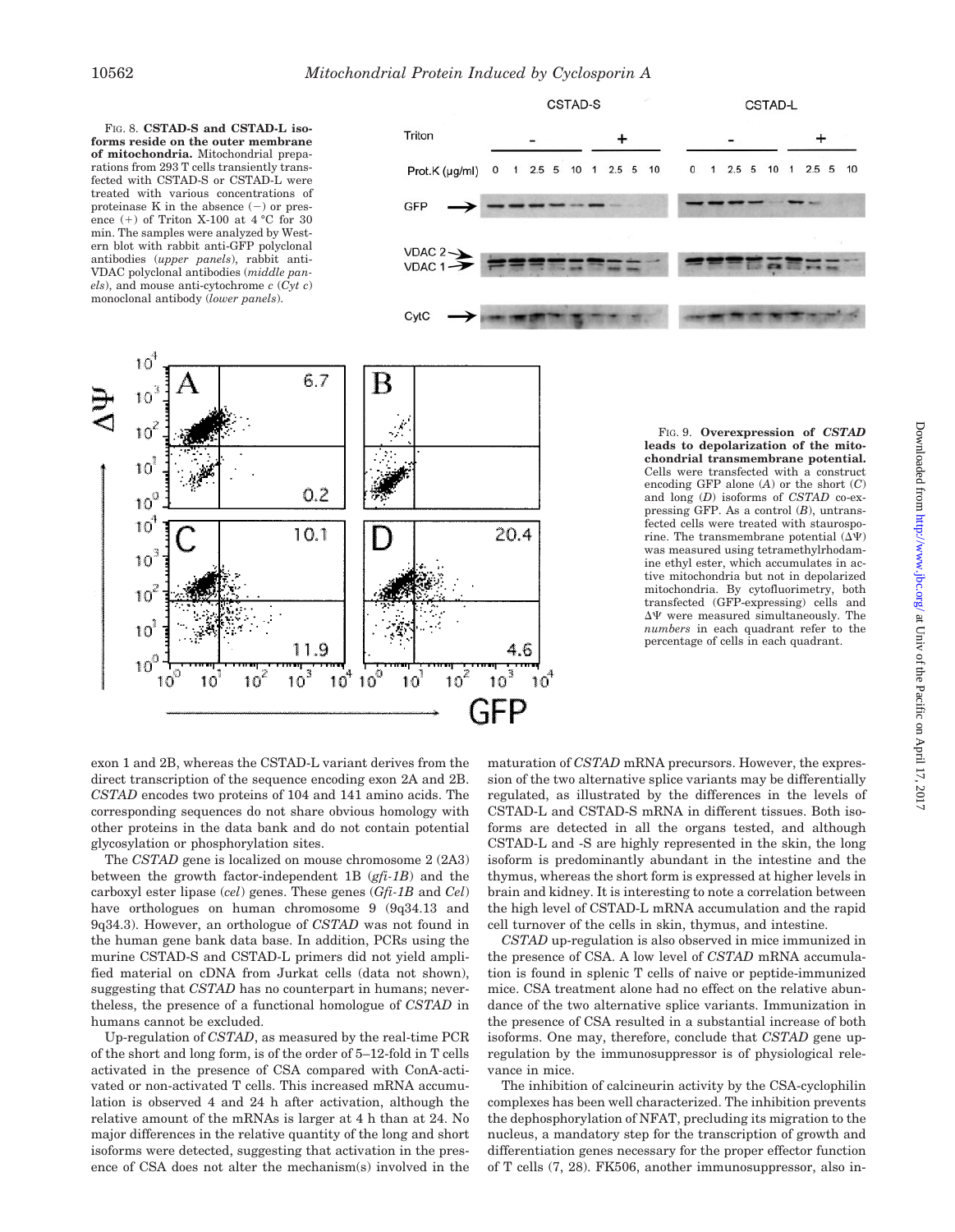

and long (*D*) isoforms of *CSTAD* co-expressing GFP. As a control (*B*), untransfected cells were treated with staurosporine. The transmembrane potential  $(\Delta \Psi)$ was measured using tetramethylrhodamine ethyl ester, which accumulates in active mitochondria but not in depolarized mitochondria. By cytofluorimetry, both transfected (GFP-expressing) cells and  $\Delta\Psi$  were measured simultaneously. The *numbers* in each quadrant refer to the percentage of cells in each quadrant.

 $\ddot{}$ 

 $\overline{1}$  $2.5\quad 5$  $10$ 

exon 1 and 2B, whereas the CSTAD-L variant derives from the direct transcription of the sequence encoding exon 2A and 2B. *CSTAD* encodes two proteins of 104 and 141 amino acids. The corresponding sequences do not share obvious homology with other proteins in the data bank and do not contain potential glycosylation or phosphorylation sites.

The *CSTAD* gene is localized on mouse chromosome 2 (2A3) between the growth factor-independent 1B (*gfi-1B*) and the carboxyl ester lipase (*cel*) genes. These genes (*Gfi-1B* and *Cel*) have orthologues on human chromosome 9 (9q34.13 and 9q34.3). However, an orthologue of *CSTAD* was not found in the human gene bank data base. In addition, PCRs using the murine CSTAD-S and CSTAD-L primers did not yield amplified material on cDNA from Jurkat cells (data not shown), suggesting that *CSTAD* has no counterpart in humans; nevertheless, the presence of a functional homologue of *CSTAD* in humans cannot be excluded.

Up-regulation of *CSTAD*, as measured by the real-time PCR of the short and long form, is of the order of 5–12-fold in T cells activated in the presence of CSA compared with ConA-activated or non-activated T cells. This increased mRNA accumulation is observed 4 and 24 h after activation, although the relative amount of the mRNAs is larger at 4 h than at 24. No major differences in the relative quantity of the long and short isoforms were detected, suggesting that activation in the presence of CSA does not alter the mechanism(s) involved in the

maturation of *CSTAD* mRNA precursors. However, the expression of the two alternative splice variants may be differentially regulated, as illustrated by the differences in the levels of CSTAD-L and CSTAD-S mRNA in different tissues. Both isoforms are detected in all the organs tested, and although CSTAD-L and -S are highly represented in the skin, the long isoform is predominantly abundant in the intestine and the thymus, whereas the short form is expressed at higher levels in brain and kidney. It is interesting to note a correlation between the high level of CSTAD-L mRNA accumulation and the rapid cell turnover of the cells in skin, thymus, and intestine.

*CSTAD* up-regulation is also observed in mice immunized in the presence of CSA. A low level of *CSTAD* mRNA accumulation is found in splenic T cells of naive or peptide-immunized mice. CSA treatment alone had no effect on the relative abundance of the two alternative splice variants. Immunization in the presence of CSA resulted in a substantial increase of both isoforms. One may, therefore, conclude that *CSTAD* gene upregulation by the immunosuppressor is of physiological relevance in mice.

The inhibition of calcineurin activity by the CSA-cyclophilin complexes has been well characterized. The inhibition prevents the dephosphorylation of NFAT, precluding its migration to the nucleus, a mandatory step for the transcription of growth and differentiation genes necessary for the proper effector function of T cells (7, 28). FK506, another immunosuppressor, also in-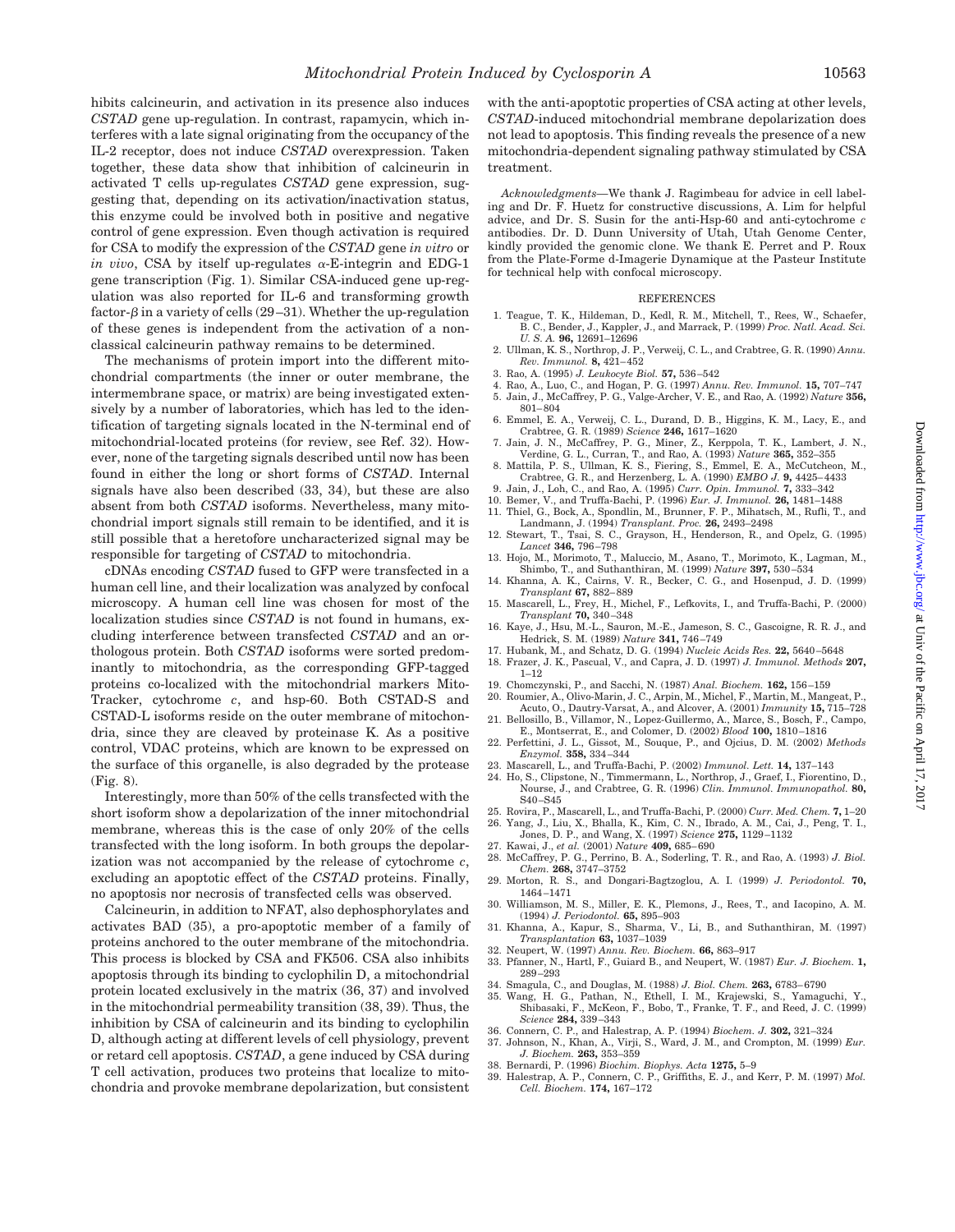hibits calcineurin, and activation in its presence also induces *CSTAD* gene up-regulation. In contrast, rapamycin, which interferes with a late signal originating from the occupancy of the IL-2 receptor, does not induce *CSTAD* overexpression. Taken together, these data show that inhibition of calcineurin in activated T cells up-regulates *CSTAD* gene expression, suggesting that, depending on its activation/inactivation status, this enzyme could be involved both in positive and negative control of gene expression. Even though activation is required for CSA to modify the expression of the *CSTAD* gene *in vitro* or *in vivo*, CSA by itself up-regulates  $\alpha$ -E-integrin and EDG-1 gene transcription (Fig. 1). Similar CSA-induced gene up-regulation was also reported for IL-6 and transforming growth factor- $\beta$  in a variety of cells (29–31). Whether the up-regulation of these genes is independent from the activation of a nonclassical calcineurin pathway remains to be determined.

The mechanisms of protein import into the different mitochondrial compartments (the inner or outer membrane, the intermembrane space, or matrix) are being investigated extensively by a number of laboratories, which has led to the identification of targeting signals located in the N-terminal end of mitochondrial-located proteins (for review, see Ref. 32). However, none of the targeting signals described until now has been found in either the long or short forms of *CSTAD*. Internal signals have also been described (33, 34), but these are also absent from both *CSTAD* isoforms. Nevertheless, many mitochondrial import signals still remain to be identified, and it is still possible that a heretofore uncharacterized signal may be responsible for targeting of *CSTAD* to mitochondria.

cDNAs encoding *CSTAD* fused to GFP were transfected in a human cell line, and their localization was analyzed by confocal microscopy. A human cell line was chosen for most of the localization studies since *CSTAD* is not found in humans, excluding interference between transfected *CSTAD* and an orthologous protein. Both *CSTAD* isoforms were sorted predominantly to mitochondria, as the corresponding GFP-tagged proteins co-localized with the mitochondrial markers Mito-Tracker, cytochrome *c*, and hsp-60. Both CSTAD-S and CSTAD-L isoforms reside on the outer membrane of mitochondria, since they are cleaved by proteinase K. As a positive control, VDAC proteins, which are known to be expressed on the surface of this organelle, is also degraded by the protease (Fig. 8).

Interestingly, more than 50% of the cells transfected with the short isoform show a depolarization of the inner mitochondrial membrane, whereas this is the case of only 20% of the cells transfected with the long isoform. In both groups the depolarization was not accompanied by the release of cytochrome *c*, excluding an apoptotic effect of the *CSTAD* proteins. Finally, no apoptosis nor necrosis of transfected cells was observed.

Calcineurin, in addition to NFAT, also dephosphorylates and activates BAD (35), a pro-apoptotic member of a family of proteins anchored to the outer membrane of the mitochondria. This process is blocked by CSA and FK506. CSA also inhibits apoptosis through its binding to cyclophilin D, a mitochondrial protein located exclusively in the matrix (36, 37) and involved in the mitochondrial permeability transition (38, 39). Thus, the inhibition by CSA of calcineurin and its binding to cyclophilin D, although acting at different levels of cell physiology, prevent or retard cell apoptosis. *CSTAD*, a gene induced by CSA during T cell activation, produces two proteins that localize to mitochondria and provoke membrane depolarization, but consistent

with the anti-apoptotic properties of CSA acting at other levels, *CSTAD*-induced mitochondrial membrane depolarization does not lead to apoptosis. This finding reveals the presence of a new mitochondria-dependent signaling pathway stimulated by CSA treatment.

*Acknowledgments—*We thank J. Ragimbeau for advice in cell labeling and Dr. F. Huetz for constructive discussions, A. Lim for helpful advice, and Dr. S. Susin for the anti-Hsp-60 and anti-cytochrome *c* antibodies. Dr. D. Dunn University of Utah, Utah Genome Center, kindly provided the genomic clone. We thank E. Perret and P. Roux from the Plate-Forme d-Imagerie Dynamique at the Pasteur Institute for technical help with confocal microscopy.

#### REFERENCES

- 1. Teague, T. K., Hildeman, D., Kedl, R. M., Mitchell, T., Rees, W., Schaefer, B. C., Bender, J., Kappler, J., and Marrack, P. (1999) *Proc. Natl. Acad. Sci. U. S. A.* **96,** 12691–12696
- 2. Ullman, K. S., Northrop, J. P., Verweij, C. L., and Crabtree, G. R. (1990) *Annu. Rev. Immunol.* **8,** 421–452
- 3. Rao, A. (1995) *J. Leukocyte Biol.* **57,** 536–542
- 4. Rao, A., Luo, C., and Hogan, P. G. (1997) *Annu. Rev. Immunol.* **15,** 707–747 5. Jain, J., McCaffrey, P. G., Valge-Archer, V. E., and Rao, A. (1992) *Nature* **356,**
- 801–804 6. Emmel, E. A., Verweij, C. L., Durand, D. B., Higgins, K. M., Lacy, E., and Crabtree, G. R. (1989) *Science* **246,** 1617–1620
- 7. Jain, J. N., McCaffrey, P. G., Miner, Z., Kerppola, T. K., Lambert, J. N., Verdine, G. L., Curran, T., and Rao, A. (1993) *Nature* **365,** 352–355
- 8. Mattila, P. S., Ullman, K. S., Fiering, S., Emmel, E. A., McCutcheon, M., Crabtree, G. R., and Herzenberg, L. A. (1990) *EMBO J.* **9,** 4425–4433
- 9. Jain, J., Loh, C., and Rao, A. (1995) *Curr. Opin. Immunol.* **7,** 333–342
- 10. Bemer, V., and Truffa-Bachi, P. (1996) *Eur. J. Immunol.* **26,** 1481–1488 11. Thiel, G., Bock, A., Spondlin, M., Brunner, F. P., Mihatsch, M., Rufli, T., and
- Landmann, J. (1994) *Transplant. Proc.* **26,** 2493–2498
- 12. Stewart, T., Tsai, S. C., Grayson, H., Henderson, R., and Opelz, G. (1995) *Lancet* **346,** 796–798 13. Hojo, M., Morimoto, T., Maluccio, M., Asano, T., Morimoto, K., Lagman, M.,
- Shimbo, T., and Suthanthiran, M. (1999) *Nature* **397,** 530–534 14. Khanna, A. K., Cairns, V. R., Becker, C. G., and Hosenpud, J. D. (1999)
- *Transplant* **67,** 882–889 15. Mascarell, L., Frey, H., Michel, F., Lefkovits, I., and Truffa-Bachi, P. (2000)
- *Transplant* **70,** 340–348 16. Kaye, J., Hsu, M.-L., Sauron, M.-E., Jameson, S. C., Gascoigne, R. R. J., and
- Hedrick, S. M. (1989) *Nature* **341,** 746–749 17. Hubank, M., and Schatz, D. G. (1994) *Nucleic Acids Res.* **22,** 5640–5648
- 18. Frazer, J. K., Pascual, V., and Capra, J. D. (1997) *J. Immunol. Methods* **207,** 1–12
- 19. Chomczynski, P., and Sacchi, N. (1987) *Anal. Biochem.* **162,** 156–159
- 20. Roumier, A., Olivo-Marin, J. C., Arpin, M., Michel, F., Martin, M., Mangeat, P., Acuto, O., Dautry-Varsat, A., and Alcover, A. (2001) *Immunity* **15,** 715–728
- 21. Bellosillo, B., Villamor, N., Lopez-Guillermo, A., Marce, S., Bosch, F., Campo, E., Montserrat, E., and Colomer, D. (2002) *Blood* **100,** 1810–1816
- 22. Perfettini, J. L., Gissot, M., Souque, P., and Ojcius, D. M. (2002) *Methods Enzymol.* **358,** 334–344
- 23. Mascarell, L., and Truffa-Bachi, P. (2002) *Immunol. Lett.* **14,** 137–143
- 24. Ho, S., Clipstone, N., Timmermann, L., Northrop, J., Graef, I., Fiorentino, D., Nourse, J., and Crabtree, G. R. (1996) *Clin. Immunol. Immunopathol.* **80,** S40–S45
- 25. Rovira, P., Mascarell, L., and Truffa-Bachi, P. (2000) *Curr. Med. Chem.* **7,** 1–20 26. Yang, J., Liu, X., Bhalla, K., Kim, C. N., Ibrado, A. M., Cai, J., Peng, T. I., Jones, D. P., and Wang, X. (1997) *Science* **275,** 1129–1132
- 27. Kawai, J., *et al.* (2001) *Nature* **409,** 685–690
- 28. McCaffrey, P. G., Perrino, B. A., Soderling, T. R., and Rao, A. (1993) *J. Biol. Chem.* **268,** 3747–3752
- 29. Morton, R. S., and Dongari-Bagtzoglou, A. I. (1999) *J. Periodontol.* **70,** 1464–1471
- 30. Williamson, M. S., Miller, E. K., Plemons, J., Rees, T., and Iacopino, A. M. (1994) *J. Periodontol.* **65,** 895–903
- 31. Khanna, A., Kapur, S., Sharma, V., Li, B., and Suthanthiran, M. (1997) *Transplantation* **63,** 1037–1039
- 32. Neupert, W. (1997) *Annu. Rev. Biochem.* **66,** 863–917
- 33. Pfanner, N., Hartl, F., Guiard B., and Neupert, W. (1987) *Eur. J. Biochem.* **1,** 289–293
- 34. Smagula, C., and Douglas, M. (1988) *J. Biol. Chem.* **263,** 6783–6790
- 35. Wang, H. G., Pathan, N., Ethell, I. M., Krajewski, S., Yamaguchi, Y., Shibasaki, F., McKeon, F., Bobo, T., Franke, T. F., and Reed, J. C. (1999) *Science* **284,** 339–343
- 
- 36. Connern, C. P., and Halestrap, A. P. (1994) *Biochem. J.* **302,** 321–324 37. Johnson, N., Khan, A., Virji, S., Ward, J. M., and Crompton, M. (1999) *Eur. J. Biochem.* **263,** 353–359
- 38. Bernardi, P. (1996) *Biochim. Biophys. Acta* **1275,** 5–9
- 39. Halestrap, A. P., Connern, C. P., Griffiths, E. J., and Kerr, P. M. (1997) *Mol. Cell. Biochem.* **174,** 167–172

Downloaded from http://www.jbc.org/ at Univ of the Pacific on April 17, 2017 Downloaded from <http://www.jbc.org/> at Univ of the Pacific on April 17, 2017